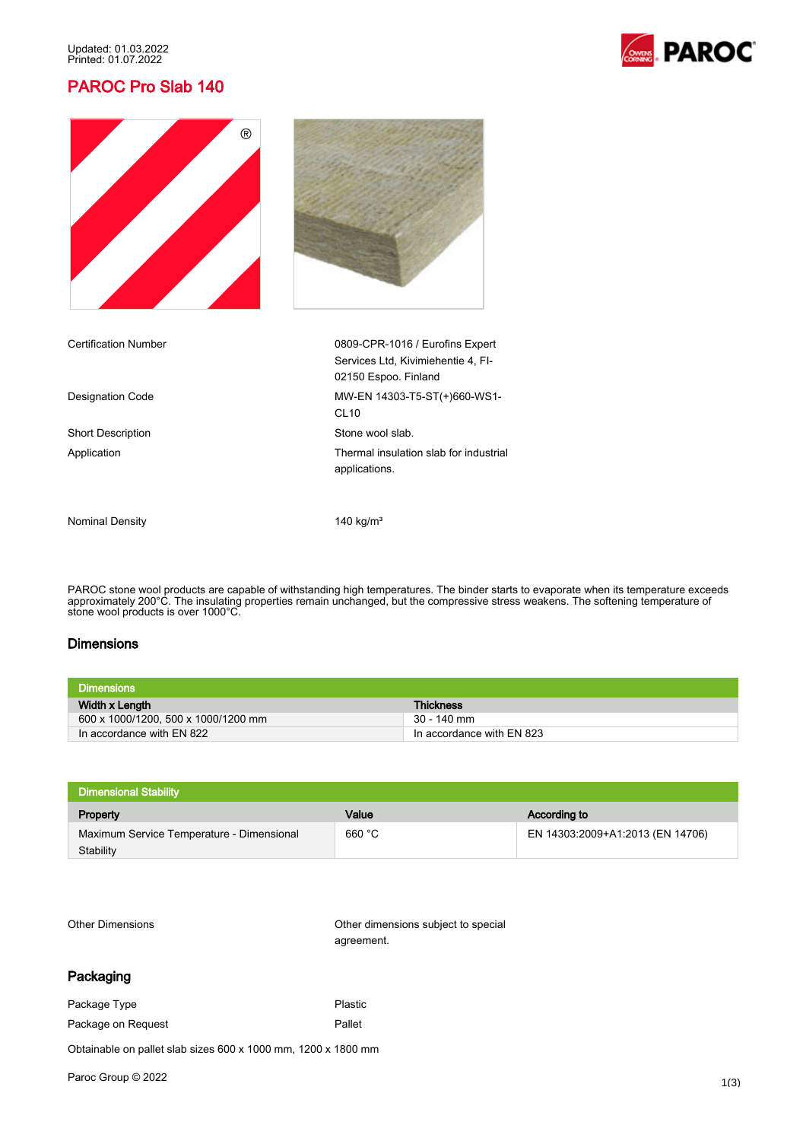Updated: 01.03.2022 Printed: 01.07.2022

# PAROC Pro Slab 140







Short Description Short Description Stone wool slab.

Certification Number 0809-CPR-1016 / Eurofins Expert Services Ltd, Kivimiehentie 4, FI-02150 Espoo. Finland Designation Code MW-EN 14303-T5-ST(+)660-WS1-CL10 Application **Thermal insulation slab for industrial** applications.

Nominal Density 140 kg/m<sup>3</sup>

PAROC stone wool products are capable of withstanding high temperatures. The binder starts to evaporate when its temperature exceeds approximately 200°C. The insulating properties remain unchanged, but the compressive stress weakens. The softening temperature of stone wool products is over 1000°C.

#### **Dimensions**

| <b>Dimensions</b>                   |                           |
|-------------------------------------|---------------------------|
| Width x Length                      | <b>Thickness</b>          |
| 600 x 1000/1200, 500 x 1000/1200 mm | 30 - 140 mm               |
| In accordance with EN 822           | In accordance with EN 823 |

| Value  | According to                     |
|--------|----------------------------------|
| 660 °C | EN 14303:2009+A1:2013 (EN 14706) |
|        |                                  |

Other Dimensions Other dimensions subject to special agreement.

### Packaging

Package Type **Plastic** 

Package on Request **Pallet** Pallet

Obtainable on pallet slab sizes 600 x 1000 mm, 1200 x 1800 mm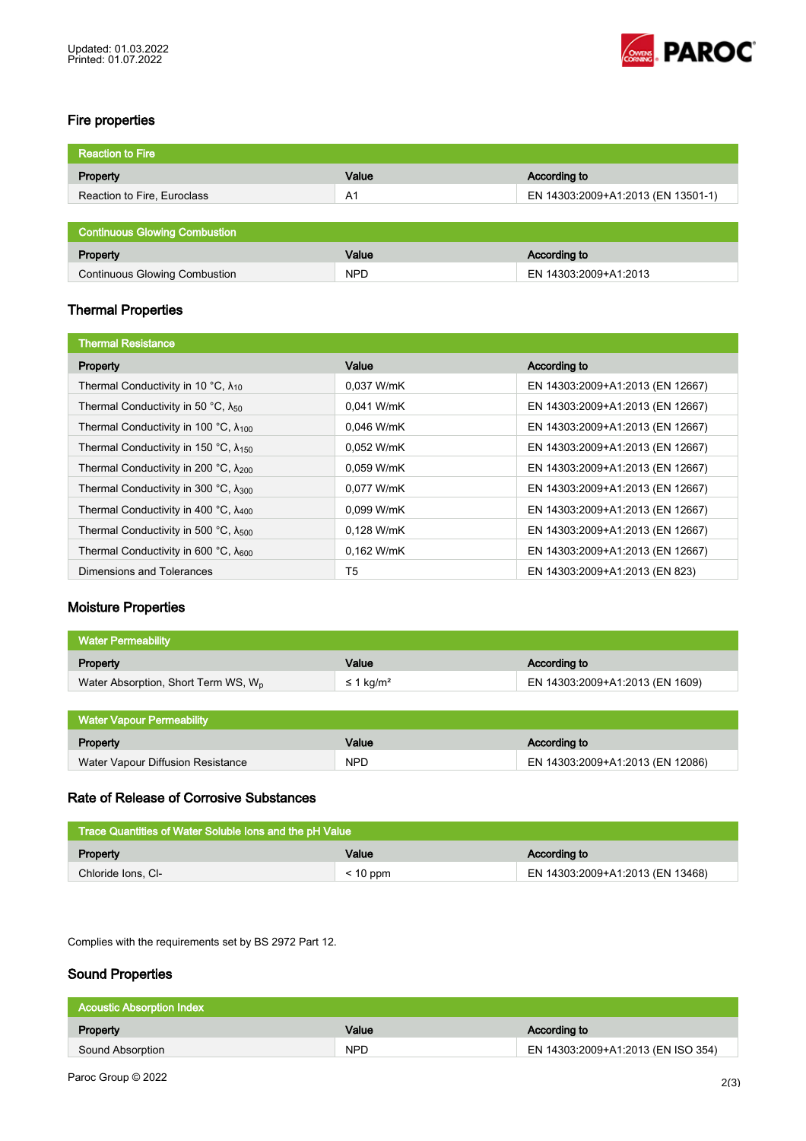

## Fire properties

| <b>Reaction to Fire</b>              |            |                                    |
|--------------------------------------|------------|------------------------------------|
| Property                             | Value      | <b>According to</b>                |
| Reaction to Fire, Euroclass          | A1         | EN 14303:2009+A1:2013 (EN 13501-1) |
|                                      |            |                                    |
| <b>Continuous Glowing Combustion</b> |            |                                    |
| Property                             | Value      | According to                       |
| <b>Continuous Glowing Combustion</b> | <b>NPD</b> | EN 14303:2009+A1:2013              |

## Thermal Properties

| <b>Thermal Resistance</b>                       |            |                                  |
|-------------------------------------------------|------------|----------------------------------|
| Property                                        | Value      | According to                     |
| Thermal Conductivity in 10 °C, $\lambda_{10}$   | 0.037 W/mK | EN 14303:2009+A1:2013 (EN 12667) |
| Thermal Conductivity in 50 °C, $\lambda_{50}$   | 0,041 W/mK | EN 14303:2009+A1:2013 (EN 12667) |
| Thermal Conductivity in 100 °C, $\lambda_{100}$ | 0.046 W/mK | EN 14303:2009+A1:2013 (EN 12667) |
| Thermal Conductivity in 150 °C, $\lambda_{150}$ | 0.052 W/mK | EN 14303:2009+A1:2013 (EN 12667) |
| Thermal Conductivity in 200 °C, $\lambda_{200}$ | 0.059 W/mK | EN 14303:2009+A1:2013 (EN 12667) |
| Thermal Conductivity in 300 °C, $\lambda_{300}$ | 0.077 W/mK | EN 14303:2009+A1:2013 (EN 12667) |
| Thermal Conductivity in 400 °C, $\lambda_{400}$ | 0,099 W/mK | EN 14303:2009+A1:2013 (EN 12667) |
| Thermal Conductivity in 500 °C, $\lambda_{500}$ | 0.128 W/mK | EN 14303:2009+A1:2013 (EN 12667) |
| Thermal Conductivity in 600 °C, $\lambda_{600}$ | 0.162 W/mK | EN 14303:2009+A1:2013 (EN 12667) |
| Dimensions and Tolerances                       | T5         | EN 14303:2009+A1:2013 (EN 823)   |

## Moisture Properties

| Water Permeability                              |                       |                                 |
|-------------------------------------------------|-----------------------|---------------------------------|
| Property                                        | Value                 | According to                    |
| Water Absorption, Short Term WS, W <sub>p</sub> | ≤ 1 kg/m <sup>2</sup> | EN 14303:2009+A1:2013 (EN 1609) |

| <b>Water Vapour Permeability</b>  |            |                                  |
|-----------------------------------|------------|----------------------------------|
| Property                          | Value      | According to                     |
| Water Vapour Diffusion Resistance | <b>NPD</b> | EN 14303:2009+A1:2013 (EN 12086) |

# Rate of Release of Corrosive Substances

| Trace Quantities of Water Soluble lons and the pH Value |            |                                  |
|---------------------------------------------------------|------------|----------------------------------|
| Property                                                | Value      | According to                     |
| Chloride Ions, CI-                                      | $< 10$ ppm | EN 14303:2009+A1:2013 (EN 13468) |

Complies with the requirements set by BS 2972 Part 12.

## Sound Properties

| <b>Acoustic Absorption Index</b> |            |                                    |
|----------------------------------|------------|------------------------------------|
| Property                         | Value      | According to                       |
| Sound Absorption                 | <b>NPD</b> | EN 14303:2009+A1:2013 (EN ISO 354) |